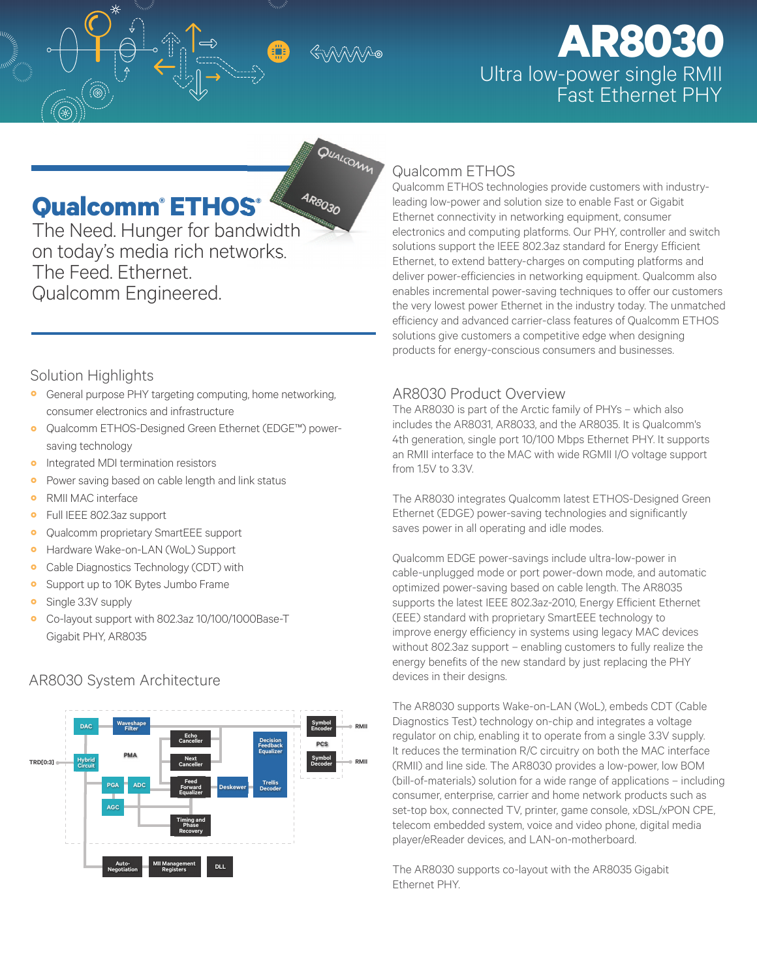QUALCOMM

# **AR8030** Ultra low-power single RMII

### Qualcomm<sup>®</sup> ETHOS®

The Need. Hunger for bandwidth on today's media rich networks. The Feed. Ethernet. Qualcomm Engineered.

### **Qualcomm ETHOS**

Qualcomm ETHOS technologies provide customers with industryleading low-power and solution size to enable Fast or Gigabit Ethernet connectivity in networking equipment, consumer electronics and computing platforms. Our PHY, controller and switch solutions support the IEEE 802.3az standard for Energy Efficient Ethernet, to extend battery-charges on computing platforms and deliver power-efficiencies in networking equipment. Qualcomm also enables incremental power-saving techniques to offer our customers the very lowest power Ethernet in the industry today. The unmatched efficiency and advanced carrier-class features of Qualcomm ETHOS solutions give customers a competitive edge when designing products for energy-conscious consumers and businesses.

### Solution Highlights

- General purpose PHY targeting computing, home networking, consumer electronics and infrastructure
- Qualcomm ETHOS-Designed Green Ethernet (EDGE™) power- $\bullet$ saving technology
- Integrated MDI termination resistors  $\bullet$
- $\ddot{\mathbf{o}}$ Power saving based on cable length and link status
- RMII MAC interface  $\bullet$
- Full IEEE 802.3az support  $\bullet$
- Qualcomm proprietary SmartEEE support  $\bullet$
- Hardware Wake-on-LAN (WoL) Support  $\bullet$
- Cable Diagnostics Technology (CDT) with  $\bullet$
- Support up to 10K Bytes Jumbo Frame  $\bullet$
- $\bullet$ Single 3.3V supply
- Co-layout support with 802.3az 10/100/1000Base-T Gigabit PHY, AR8035

## avesha<br>Filtar Decisio<br>Feedbac<br>Foualize **PCS** Symbol<br>Decode  $Hybri$ TROIO:31

### AR8030 System Architecture

### **AR8030 Product Overview**

The AR8030 is part of the Arctic family of PHYs - which also includes the AR8031, AR8033, and the AR8035. It is Qualcomm's 4th generation, single port 10/100 Mbps Ethernet PHY. It supports an RMII interface to the MAC with wide RGMII I/O voltage support from 1.5V to 3.3V.

The AR8030 integrates Qualcomm latest ETHOS-Designed Green Ethernet (EDGE) power-saving technologies and significantly saves power in all operating and idle modes.

Qualcomm EDGE power-savings include ultra-low-power in cable-unplugged mode or port power-down mode, and automatic optimized power-saving based on cable length. The AR8035 supports the latest IEEE 802.3az-2010, Energy Efficient Ethernet (EEE) standard with proprietary SmartEEE technology to improve energy efficiency in systems using legacy MAC devices without 802.3az support - enabling customers to fully realize the energy benefits of the new standard by just replacing the PHY devices in their designs.

The AR8030 supports Wake-on-LAN (WoL), embeds CDT (Cable Diagnostics Test) technology on-chip and integrates a voltage regulator on chip, enabling it to operate from a single 3.3V supply. It reduces the termination R/C circuitry on both the MAC interface (RMII) and line side. The AR8030 provides a low-power, low BOM (bill-of-materials) solution for a wide range of applications - including consumer, enterprise, carrier and home network products such as set-top box, connected TV, printer, game console, xDSL/xPON CPE, telecom embedded system, voice and video phone, digital media player/eReader devices, and LAN-on-motherboard.

The AR8030 supports co-layout with the AR8035 Gigabit Ethernet PHY.